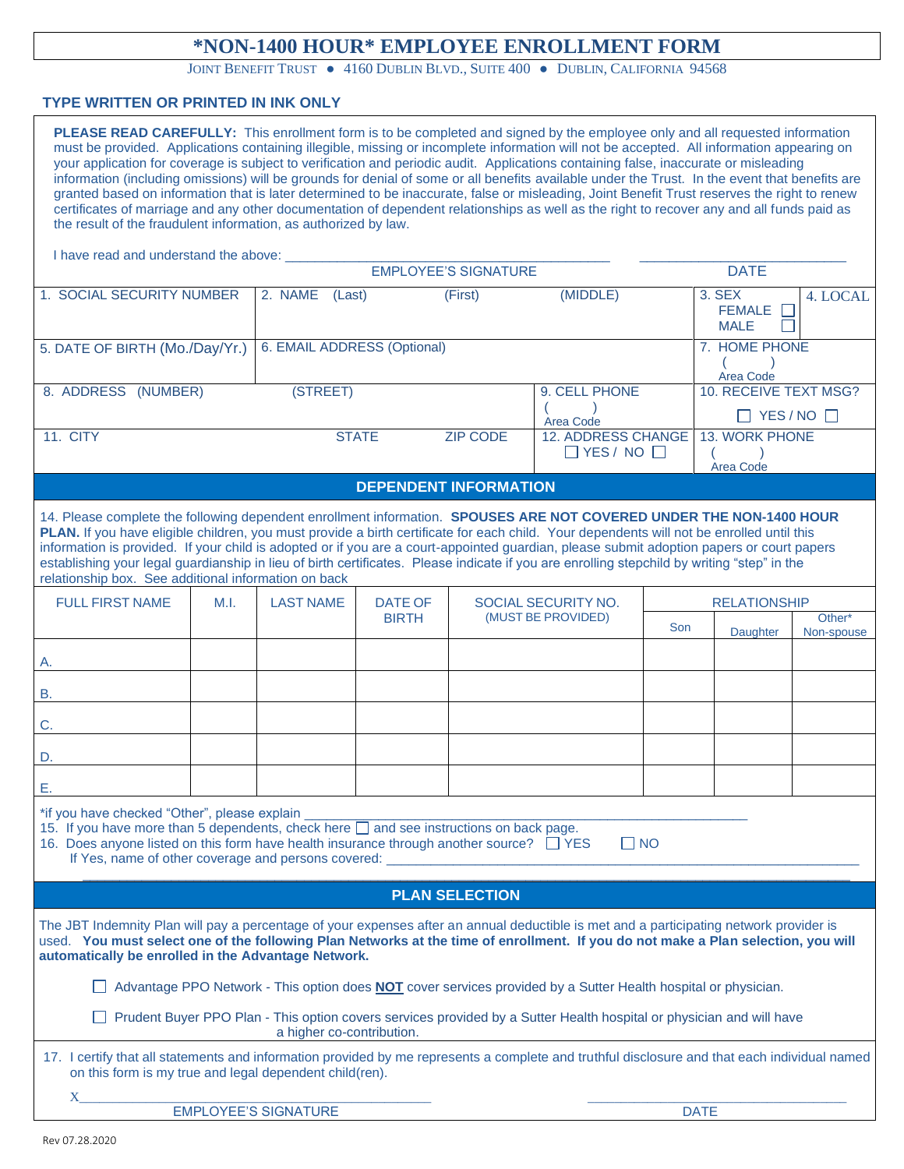## **\*NON-1400 HOUR\* EMPLOYEE ENROLLMENT FORM**

JOINT BENEFIT TRUST . 4160 DUBLIN BLVD., SUITE 400 . DUBLIN, CALIFORNIA 94568

## **TYPE WRITTEN OR PRINTED IN INK ONLY**

| PLEASE READ CAREFULLY: This enrollment form is to be completed and signed by the employee only and all requested information<br>must be provided. Applications containing illegible, missing or incomplete information will not be accepted. All information appearing on<br>your application for coverage is subject to verification and periodic audit. Applications containing false, inaccurate or misleading<br>information (including omissions) will be grounds for denial of some or all benefits available under the Trust. In the event that benefits are<br>granted based on information that is later determined to be inaccurate, false or misleading, Joint Benefit Trust reserves the right to renew<br>certificates of marriage and any other documentation of dependent relationships as well as the right to recover any and all funds paid as<br>the result of the fraudulent information, as authorized by law. |      |                             |                                |                 |                                              |                               |                                                  |            |  |
|-------------------------------------------------------------------------------------------------------------------------------------------------------------------------------------------------------------------------------------------------------------------------------------------------------------------------------------------------------------------------------------------------------------------------------------------------------------------------------------------------------------------------------------------------------------------------------------------------------------------------------------------------------------------------------------------------------------------------------------------------------------------------------------------------------------------------------------------------------------------------------------------------------------------------------------|------|-----------------------------|--------------------------------|-----------------|----------------------------------------------|-------------------------------|--------------------------------------------------|------------|--|
| I have read and understand the above: _<br><b>EMPLOYEE'S SIGNATURE</b><br><b>DATE</b>                                                                                                                                                                                                                                                                                                                                                                                                                                                                                                                                                                                                                                                                                                                                                                                                                                               |      |                             |                                |                 |                                              |                               |                                                  |            |  |
|                                                                                                                                                                                                                                                                                                                                                                                                                                                                                                                                                                                                                                                                                                                                                                                                                                                                                                                                     |      |                             |                                |                 |                                              |                               |                                                  |            |  |
| 1. SOCIAL SECURITY NUMBER                                                                                                                                                                                                                                                                                                                                                                                                                                                                                                                                                                                                                                                                                                                                                                                                                                                                                                           |      | 2. NAME<br>(Last)           |                                | (First)         | (MIDDLE)                                     |                               | 3. SEX<br><b>FEMALE</b><br>$\Box$<br><b>MALE</b> | 4. LOCAL   |  |
| 5. DATE OF BIRTH (Mo./Day/Yr.)                                                                                                                                                                                                                                                                                                                                                                                                                                                                                                                                                                                                                                                                                                                                                                                                                                                                                                      |      | 6. EMAIL ADDRESS (Optional) |                                |                 |                                              |                               | 7. HOME PHONE<br>Area Code                       |            |  |
| 8. ADDRESS (NUMBER)                                                                                                                                                                                                                                                                                                                                                                                                                                                                                                                                                                                                                                                                                                                                                                                                                                                                                                                 |      | (STREET)                    |                                | 9. CELL PHONE   |                                              | 10. RECEIVE TEXT MSG?         |                                                  |            |  |
|                                                                                                                                                                                                                                                                                                                                                                                                                                                                                                                                                                                                                                                                                                                                                                                                                                                                                                                                     |      |                             |                                |                 | Area Code                                    |                               | $\Box$ YES/NO $\Box$                             |            |  |
| 11. CITY                                                                                                                                                                                                                                                                                                                                                                                                                                                                                                                                                                                                                                                                                                                                                                                                                                                                                                                            |      | <b>STATE</b>                |                                | <b>ZIP CODE</b> | 12. ADDRESS CHANGE<br>$\Box$ YES / NO $\Box$ |                               | <b>13. WORK PHONE</b>                            |            |  |
|                                                                                                                                                                                                                                                                                                                                                                                                                                                                                                                                                                                                                                                                                                                                                                                                                                                                                                                                     |      |                             |                                |                 |                                              |                               | <b>Area Code</b>                                 |            |  |
| <b>DEPENDENT INFORMATION</b>                                                                                                                                                                                                                                                                                                                                                                                                                                                                                                                                                                                                                                                                                                                                                                                                                                                                                                        |      |                             |                                |                 |                                              |                               |                                                  |            |  |
| 14. Please complete the following dependent enrollment information. SPOUSES ARE NOT COVERED UNDER THE NON-1400 HOUR<br>PLAN. If you have eligible children, you must provide a birth certificate for each child. Your dependents will not be enrolled until this<br>information is provided. If your child is adopted or if you are a court-appointed guardian, please submit adoption papers or court papers<br>establishing your legal guardianship in lieu of birth certificates. Please indicate if you are enrolling stepchild by writing "step" in the<br>relationship box. See additional information on back                                                                                                                                                                                                                                                                                                                |      |                             |                                |                 |                                              |                               |                                                  |            |  |
| <b>FULL FIRST NAME</b>                                                                                                                                                                                                                                                                                                                                                                                                                                                                                                                                                                                                                                                                                                                                                                                                                                                                                                              | M.I. |                             | <b>DATE OF</b><br><b>BIRTH</b> |                 | SOCIAL SECURITY NO.<br>(MUST BE PROVIDED)    | <b>RELATIONSHIP</b><br>Other* |                                                  |            |  |
|                                                                                                                                                                                                                                                                                                                                                                                                                                                                                                                                                                                                                                                                                                                                                                                                                                                                                                                                     |      |                             |                                |                 | Son                                          |                               | Daughter                                         | Non-spouse |  |
| Α.                                                                                                                                                                                                                                                                                                                                                                                                                                                                                                                                                                                                                                                                                                                                                                                                                                                                                                                                  |      |                             |                                |                 |                                              |                               |                                                  |            |  |
| <b>B.</b>                                                                                                                                                                                                                                                                                                                                                                                                                                                                                                                                                                                                                                                                                                                                                                                                                                                                                                                           |      |                             |                                |                 |                                              |                               |                                                  |            |  |
| C.                                                                                                                                                                                                                                                                                                                                                                                                                                                                                                                                                                                                                                                                                                                                                                                                                                                                                                                                  |      |                             |                                |                 |                                              |                               |                                                  |            |  |
| D.                                                                                                                                                                                                                                                                                                                                                                                                                                                                                                                                                                                                                                                                                                                                                                                                                                                                                                                                  |      |                             |                                |                 |                                              |                               |                                                  |            |  |
| Е.                                                                                                                                                                                                                                                                                                                                                                                                                                                                                                                                                                                                                                                                                                                                                                                                                                                                                                                                  |      |                             |                                |                 |                                              |                               |                                                  |            |  |
| *if you have checked "Other", please explain<br>15. If you have more than 5 dependents, check here $\Box$ and see instructions on back page.<br>16. Does anyone listed on this form have health insurance through another source? TYES<br>$\square$ NO<br>If Yes, name of other coverage and persons covered:                                                                                                                                                                                                                                                                                                                                                                                                                                                                                                                                                                                                                       |      |                             |                                |                 |                                              |                               |                                                  |            |  |
| <b>PLAN SELECTION</b>                                                                                                                                                                                                                                                                                                                                                                                                                                                                                                                                                                                                                                                                                                                                                                                                                                                                                                               |      |                             |                                |                 |                                              |                               |                                                  |            |  |
| The JBT Indemnity Plan will pay a percentage of your expenses after an annual deductible is met and a participating network provider is<br>used. You must select one of the following Plan Networks at the time of enrollment. If you do not make a Plan selection, you will<br>automatically be enrolled in the Advantage Network.                                                                                                                                                                                                                                                                                                                                                                                                                                                                                                                                                                                                 |      |                             |                                |                 |                                              |                               |                                                  |            |  |
| Advantage PPO Network - This option does <b>NOT</b> cover services provided by a Sutter Health hospital or physician.                                                                                                                                                                                                                                                                                                                                                                                                                                                                                                                                                                                                                                                                                                                                                                                                               |      |                             |                                |                 |                                              |                               |                                                  |            |  |
| Prudent Buyer PPO Plan - This option covers services provided by a Sutter Health hospital or physician and will have<br>a higher co-contribution.                                                                                                                                                                                                                                                                                                                                                                                                                                                                                                                                                                                                                                                                                                                                                                                   |      |                             |                                |                 |                                              |                               |                                                  |            |  |
| 17. I certify that all statements and information provided by me represents a complete and truthful disclosure and that each individual named<br>on this form is my true and legal dependent child(ren).                                                                                                                                                                                                                                                                                                                                                                                                                                                                                                                                                                                                                                                                                                                            |      |                             |                                |                 |                                              |                               |                                                  |            |  |
| $\mathbf X$ and $\mathbf X$ and $\mathbf X$ and $\mathbf X$ and $\mathbf X$ and $\mathbf X$ and $\mathbf X$ and $\mathbf X$ and $\mathbf X$ and $\mathbf X$ and $\mathbf X$ and $\mathbf X$ and $\mathbf X$ and $\mathbf X$ and $\mathbf X$ and $\mathbf X$ and $\mathbf X$ and $\mathbf X$ and $\mathbf X$ and $\mathbf X$ and                                                                                                                                                                                                                                                                                                                                                                                                                                                                                                                                                                                                     |      | <b>EMPLOYEE'S SIGNATURE</b> |                                |                 |                                              |                               | <b>DATE</b>                                      |            |  |